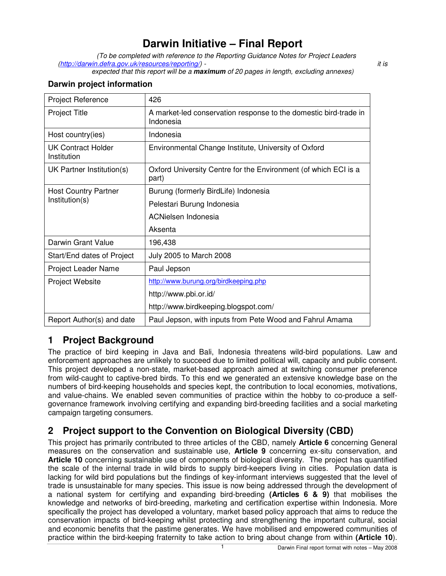## **Darwin Initiative – Final Report**

(To be completed with reference to the Reporting Guidance Notes for Project Leaders (http://darwin.defra.gov.uk/resources/reporting/) - it is in the interval of the interval of the interval of the interval of the interval of the interval of the interval of the interval of the interval of the interval of t

expected that this report will be a **maximum** of 20 pages in length, excluding annexes)

#### **Darwin project information**

| Project Reference                             | 426                                                                           |
|-----------------------------------------------|-------------------------------------------------------------------------------|
| <b>Project Title</b>                          | A market-led conservation response to the domestic bird-trade in<br>Indonesia |
| Host country(ies)                             | Indonesia                                                                     |
| UK Contract Holder<br>Institution             | Environmental Change Institute, University of Oxford                          |
| UK Partner Institution(s)                     | Oxford University Centre for the Environment (of which ECI is a<br>part)      |
| <b>Host Country Partner</b><br>Institution(s) | Burung (formerly BirdLife) Indonesia                                          |
|                                               | Pelestari Burung Indonesia                                                    |
|                                               | ACNielsen Indonesia                                                           |
|                                               | Aksenta                                                                       |
| Darwin Grant Value                            | 196,438                                                                       |
| Start/End dates of Project                    | <b>July 2005 to March 2008</b>                                                |
| Project Leader Name                           | Paul Jepson                                                                   |
| <b>Project Website</b>                        | http://www.burung.org/birdkeeping.php                                         |
|                                               | http://www.pbi.or.id/                                                         |
|                                               | http://www.birdkeeping.blogspot.com/                                          |
| Report Author(s) and date                     | Paul Jepson, with inputs from Pete Wood and Fahrul Amama                      |

## **1 Project Background**

The practice of bird keeping in Java and Bali, Indonesia threatens wild-bird populations. Law and enforcement approaches are unlikely to succeed due to limited political will, capacity and public consent. This project developed a non-state, market-based approach aimed at switching consumer preference from wild-caught to captive-bred birds. To this end we generated an extensive knowledge base on the numbers of bird-keeping households and species kept, the contribution to local economies, motivations, and value-chains. We enabled seven communities of practice within the hobby to co-produce a selfgovernance framework involving certifying and expanding bird-breeding facilities and a social marketing campaign targeting consumers.

## **2 Project support to the Convention on Biological Diversity (CBD)**

This project has primarily contributed to three articles of the CBD, namely **Article 6** concerning General measures on the conservation and sustainable use, **Article 9** concerning ex-situ conservation, and **Article 10** concerning sustainable use of components of biological diversity. The project has quantified the scale of the internal trade in wild birds to supply bird-keepers living in cities. Population data is lacking for wild bird populations but the findings of key-informant interviews suggested that the level of trade is unsustainable for many species. This issue is now being addressed through the development of a national system for certifying and expanding bird-breeding **(Articles 6 & 9)** that mobilises the knowledge and networks of bird-breeding, marketing and certification expertise within Indonesia. More specifically the project has developed a voluntary, market based policy approach that aims to reduce the conservation impacts of bird-keeping whilst protecting and strengthening the important cultural, social and economic benefits that the pastime generates. We have mobilised and empowered communities of practice within the bird-keeping fraternity to take action to bring about change from within **(Article 10**).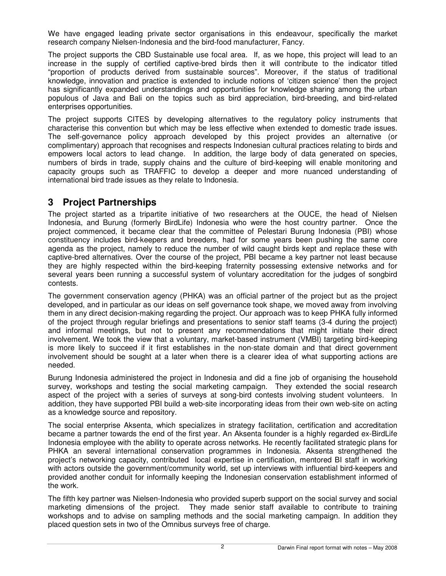We have engaged leading private sector organisations in this endeavour, specifically the market research company Nielsen-Indonesia and the bird-food manufacturer, Fancy.

The project supports the CBD Sustainable use focal area. If, as we hope, this project will lead to an increase in the supply of certified captive-bred birds then it will contribute to the indicator titled "proportion of products derived from sustainable sources". Moreover, if the status of traditional knowledge, innovation and practice is extended to include notions of 'citizen science' then the project has significantly expanded understandings and opportunities for knowledge sharing among the urban populous of Java and Bali on the topics such as bird appreciation, bird-breeding, and bird-related enterprises opportunities.

The project supports CITES by developing alternatives to the regulatory policy instruments that characterise this convention but which may be less effective when extended to domestic trade issues. The self-governance policy approach developed by this project provides an alternative (or complimentary) approach that recognises and respects Indonesian cultural practices relating to birds and empowers local actors to lead change. In addition, the large body of data generated on species, numbers of birds in trade, supply chains and the culture of bird-keeping will enable monitoring and capacity groups such as TRAFFIC to develop a deeper and more nuanced understanding of international bird trade issues as they relate to Indonesia.

## **3 Project Partnerships**

The project started as a tripartite initiative of two researchers at the OUCE, the head of Nielsen Indonesia, and Burung (formerly BirdLife) Indonesia who were the host country partner. Once the project commenced, it became clear that the committee of Pelestari Burung Indonesia (PBI) whose constituency includes bird-keepers and breeders, had for some years been pushing the same core agenda as the project, namely to reduce the number of wild caught birds kept and replace these with captive-bred alternatives. Over the course of the project, PBI became a key partner not least because they are highly respected within the bird-keeping fraternity possessing extensive networks and for several years been running a successful system of voluntary accreditation for the judges of songbird contests.

The government conservation agency (PHKA) was an official partner of the project but as the project developed, and in particular as our ideas on self governance took shape, we moved away from involving them in any direct decision-making regarding the project. Our approach was to keep PHKA fully informed of the project through regular briefings and presentations to senior staff teams (3-4 during the project) and informal meetings, but not to present any recommendations that might initiate their direct involvement. We took the view that a voluntary, market-based instrument (VMBI) targeting bird-keeping is more likely to succeed if it first establishes in the non-state domain and that direct government involvement should be sought at a later when there is a clearer idea of what supporting actions are needed.

Burung Indonesia administered the project in Indonesia and did a fine job of organising the household survey, workshops and testing the social marketing campaign. They extended the social research aspect of the project with a series of surveys at song-bird contests involving student volunteers. In addition, they have supported PBI build a web-site incorporating ideas from their own web-site on acting as a knowledge source and repository.

The social enterprise Aksenta, which specializes in strategy facilitation, certification and accreditation became a partner towards the end of the first year. An Aksenta founder is a highly regarded ex-BirdLife Indonesia employee with the ability to operate across networks. He recently facilitated strategic plans for PHKA an several international conservation programmes in Indonesia. Aksenta strengthened the project's networking capacity, contributed local expertise in certification, mentored BI staff in working with actors outside the government/community world, set up interviews with influential bird-keepers and provided another conduit for informally keeping the Indonesian conservation establishment informed of the work.

The fifth key partner was Nielsen-Indonesia who provided superb support on the social survey and social marketing dimensions of the project. They made senior staff available to contribute to training workshops and to advise on sampling methods and the social marketing campaign. In addition they placed question sets in two of the Omnibus surveys free of charge.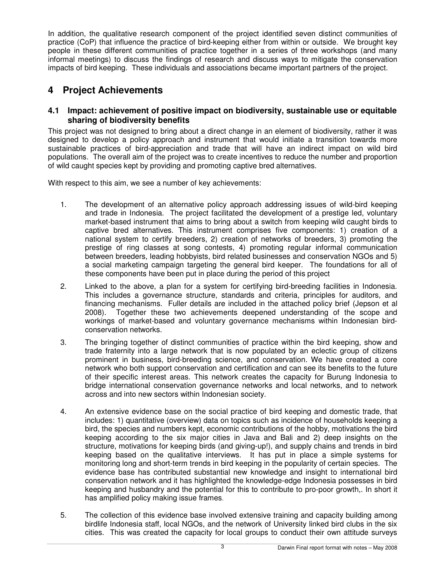In addition, the qualitative research component of the project identified seven distinct communities of practice (CoP) that influence the practice of bird-keeping either from within or outside. We brought key people in these different communities of practice together in a series of three workshops (and many informal meetings) to discuss the findings of research and discuss ways to mitigate the conservation impacts of bird keeping. These individuals and associations became important partners of the project.

## **4 Project Achievements**

#### **4.1 Impact: achievement of positive impact on biodiversity, sustainable use or equitable sharing of biodiversity benefits**

This project was not designed to bring about a direct change in an element of biodiversity, rather it was designed to develop a policy approach and instrument that would initiate a transition towards more sustainable practices of bird-appreciation and trade that will have an indirect impact on wild bird populations. The overall aim of the project was to create incentives to reduce the number and proportion of wild caught species kept by providing and promoting captive bred alternatives.

With respect to this aim, we see a number of key achievements:

- 1. The development of an alternative policy approach addressing issues of wild-bird keeping and trade in Indonesia. The project facilitated the development of a prestige led, voluntary market-based instrument that aims to bring about a switch from keeping wild caught birds to captive bred alternatives. This instrument comprises five components: 1) creation of a national system to certify breeders, 2) creation of networks of breeders, 3) promoting the prestige of ring classes at song contests, 4) promoting regular informal communication between breeders, leading hobbyists, bird related businesses and conservation NGOs and 5) a social marketing campaign targeting the general bird keeper. The foundations for all of these components have been put in place during the period of this project
- 2. Linked to the above, a plan for a system for certifying bird-breeding facilities in Indonesia. This includes a governance structure, standards and criteria, principles for auditors, and financing mechanisms. Fuller details are included in the attached policy brief (Jepson et al 2008). Together these two achievements deepened understanding of the scope and workings of market-based and voluntary governance mechanisms within Indonesian birdconservation networks.
- 3. The bringing together of distinct communities of practice within the bird keeping, show and trade fraternity into a large network that is now populated by an eclectic group of citizens prominent in business, bird-breeding science, and conservation. We have created a core network who both support conservation and certification and can see its benefits to the future of their specific interest areas. This network creates the capacity for Burung Indonesia to bridge international conservation governance networks and local networks, and to network across and into new sectors within Indonesian society.
- 4. An extensive evidence base on the social practice of bird keeping and domestic trade, that includes: 1) quantitative (overview) data on topics such as incidence of households keeping a bird, the species and numbers kept, economic contributions of the hobby, motivations the bird keeping according to the six major cities in Java and Bali and 2) deep insights on the structure, motivations for keeping birds (and giving-up!), and supply chains and trends in bird keeping based on the qualitative interviews. It has put in place a simple systems for monitoring long and short-term trends in bird keeping in the popularity of certain species. The evidence base has contributed substantial new knowledge and insight to international bird conservation network and it has highlighted the knowledge-edge Indonesia possesses in bird keeping and husbandry and the potential for this to contribute to pro-poor growth,. In short it has amplified policy making issue frames.
- 5. The collection of this evidence base involved extensive training and capacity building among birdlife Indonesia staff, local NGOs, and the network of University linked bird clubs in the six cities. This was created the capacity for local groups to conduct their own attitude surveys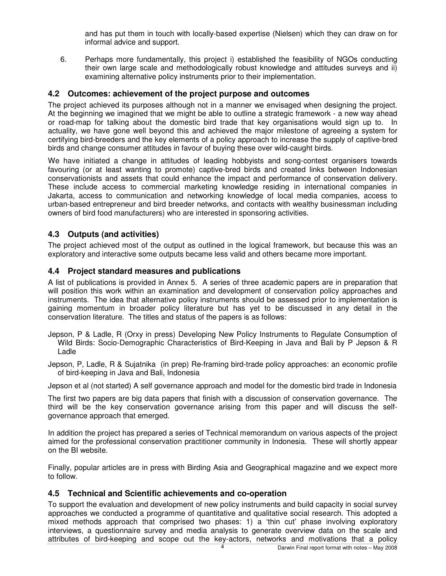and has put them in touch with locally-based expertise (Nielsen) which they can draw on for informal advice and support.

6. Perhaps more fundamentally, this project i) established the feasibility of NGOs conducting their own large scale and methodologically robust knowledge and attitudes surveys and ii) examining alternative policy instruments prior to their implementation.

#### **4.2 Outcomes: achievement of the project purpose and outcomes**

The project achieved its purposes although not in a manner we envisaged when designing the project. At the beginning we imagined that we might be able to outline a strategic framework - a new way ahead or road-map for talking about the domestic bird trade that key organisations would sign up to. In actuality, we have gone well beyond this and achieved the major milestone of agreeing a system for certifying bird-breeders and the key elements of a policy approach to increase the supply of captive-bred birds and change consumer attitudes in favour of buying these over wild-caught birds.

We have initiated a change in attitudes of leading hobbyists and song-contest organisers towards favouring (or at least wanting to promote) captive-bred birds and created links between Indonesian conservationists and assets that could enhance the impact and performance of conservation delivery. These include access to commercial marketing knowledge residing in international companies in Jakarta, access to communication and networking knowledge of local media companies, access to urban-based entrepreneur and bird breeder networks, and contacts with wealthy businessman including owners of bird food manufacturers) who are interested in sponsoring activities.

#### **4.3 Outputs (and activities)**

The project achieved most of the output as outlined in the logical framework, but because this was an exploratory and interactive some outputs became less valid and others became more important.

#### **4.4 Project standard measures and publications**

A list of publications is provided in Annex 5. A series of three academic papers are in preparation that will position this work within an examination and development of conservation policy approaches and instruments. The idea that alternative policy instruments should be assessed prior to implementation is gaining momentum in broader policy literature but has yet to be discussed in any detail in the conservation literature. The titles and status of the papers is as follows:

- Jepson, P & Ladle, R (Orxy in press) Developing New Policy Instruments to Regulate Consumption of Wild Birds: Socio-Demographic Characteristics of Bird-Keeping in Java and Bali by P Jepson & R Ladle
- Jepson, P, Ladle, R & Sujatnika (in prep) Re-framing bird-trade policy approaches: an economic profile of bird-keeping in Java and Bali, Indonesia

Jepson et al (not started) A self governance approach and model for the domestic bird trade in Indonesia

The first two papers are big data papers that finish with a discussion of conservation governance. The third will be the key conservation governance arising from this paper and will discuss the selfgovernance approach that emerged.

In addition the project has prepared a series of Technical memorandum on various aspects of the project aimed for the professional conservation practitioner community in Indonesia. These will shortly appear on the BI website.

Finally, popular articles are in press with Birding Asia and Geographical magazine and we expect more to follow.

#### **4.5 Technical and Scientific achievements and co-operation**

To support the evaluation and development of new policy instruments and build capacity in social survey approaches we conducted a programme of quantitative and qualitative social research. This adopted a mixed methods approach that comprised two phases: 1) a 'thin cut' phase involving exploratory interviews, a questionnaire survey and media analysis to generate overview data on the scale and attributes of bird-keeping and scope out the key-actors, networks and motivations that a policy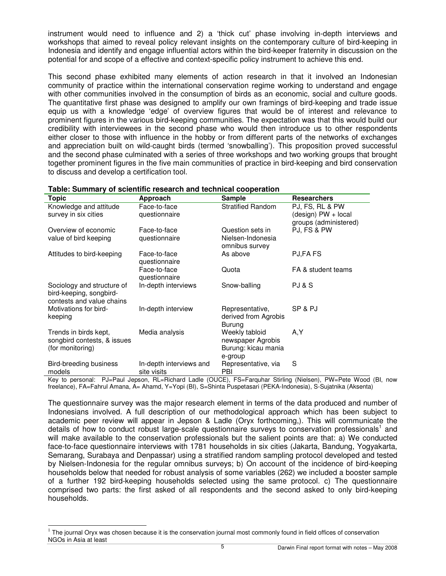instrument would need to influence and 2) a 'thick cut' phase involving in-depth interviews and workshops that aimed to reveal policy relevant insights on the contemporary culture of bird-keeping in Indonesia and identify and engage influential actors within the bird-keeper fraternity in discussion on the potential for and scope of a effective and context-specific policy instrument to achieve this end.

This second phase exhibited many elements of action research in that it involved an Indonesian community of practice within the international conservation regime working to understand and engage with other communities involved in the consumption of birds as an economic, social and culture goods. The quantitative first phase was designed to amplify our own framings of bird-keeping and trade issue equip us with a knowledge 'edge' of overview figures that would be of interest and relevance to prominent figures in the various bird-keeping communities. The expectation was that this would build our credibility with interviewees in the second phase who would then introduce us to other respondents either closer to those with influence in the hobby or from different parts of the networks of exchanges and appreciation built on wild-caught birds (termed 'snowballing'). This proposition proved successful and the second phase culminated with a series of three workshops and two working groups that brought together prominent figures in the five main communities of practice in bird-keeping and bird conservation to discuss and develop a certification tool.

| <b>Topic</b>                | Approach                | Sample                   | <b>Researchers</b>    |
|-----------------------------|-------------------------|--------------------------|-----------------------|
| Knowledge and attitude      | Face-to-face            | <b>Stratified Random</b> | PJ, FS, RL & PW       |
| survey in six cities        | questionnaire           |                          | (design) PW + local   |
|                             |                         |                          | groups (administered) |
| Overview of economic        | Face-to-face            | Question sets in         | PJ, FS & PW           |
| value of bird keeping       | questionnaire           | Nielsen-Indonesia        |                       |
|                             |                         | omnibus survey           |                       |
| Attitudes to bird-keeping   | Face-to-face            | As above                 | PJ,FA FS              |
|                             | questionnaire           |                          |                       |
|                             | Face-to-face            | Quota                    | FA & student teams    |
|                             | questionnaire           |                          |                       |
| Sociology and structure of  | In-depth interviews     | Snow-balling             | PJ & S                |
| bird-keeping, songbird-     |                         |                          |                       |
| contests and value chains   |                         |                          |                       |
| Motivations for bird-       | In-depth interview      | Representative,          | SP & PJ               |
| keeping                     |                         | derived from Agrobis     |                       |
|                             |                         | Burung                   |                       |
| Trends in birds kept,       | Media analysis          | Weekly tabloid           | A,Y                   |
| songbird contests, & issues |                         | newspaper Agrobis        |                       |
| (for monitoring)            |                         | Burung: kicau mania      |                       |
|                             |                         | e-group                  |                       |
| Bird-breeding business      | In-depth interviews and | Representative, via      | S                     |
| models                      | site visits             | <b>PBI</b>               |                       |

#### **Table: Summary of scientific research and technical cooperation**

Key to personal: PJ=Paul Jepson, RL=Richard Ladle (OUCE), FS=Farquhar Stirling (Nielsen), PW=Pete Wood (BI, now freelance), FA=Fahrul Amana, A= Ahamd, Y=Yopi (BI), S=Shinta Puspetasari (PEKA-Indonesia), S-Sujatnika (Aksenta)

The questionnaire survey was the major research element in terms of the data produced and number of Indonesians involved. A full description of our methodological approach which has been subject to academic peer review will appear in Jepson & Ladle (Oryx forthcoming,). This will communicate the details of how to conduct robust large-scale questionnaire surveys to conservation professionals<sup>1</sup> and will make available to the conservation professionals but the salient points are that: a) We conducted face-to-face questionnaire interviews with 1781 households in six cities (Jakarta, Bandung, Yogyakarta, Semarang, Surabaya and Denpassar) using a stratified random sampling protocol developed and tested by Nielsen-Indonesia for the regular omnibus surveys; b) On account of the incidence of bird-keeping households below that needed for robust analysis of some variables (262) we included a booster sample of a further 192 bird-keeping households selected using the same protocol. c) The questionnaire comprised two parts: the first asked of all respondents and the second asked to only bird-keeping households.

L

 $1$  The journal Oryx was chosen because it is the conservation journal most commonly found in field offices of conservation NGOs in Asia at least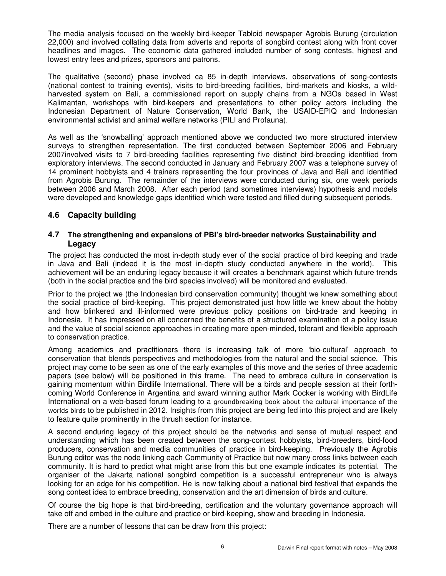The media analysis focused on the weekly bird-keeper Tabloid newspaper Agrobis Burung (circulation 22,000) and involved collating data from adverts and reports of songbird contest along with front cover headlines and images. The economic data gathered included number of song contests, highest and lowest entry fees and prizes, sponsors and patrons.

The qualitative (second) phase involved ca 85 in-depth interviews, observations of song-contests (national contest to training events), visits to bird-breeding facilities, bird-markets and kiosks, a wildharvested system on Bali, a commissioned report on supply chains from a NGOs based in West Kalimantan, workshops with bird-keepers and presentations to other policy actors including the Indonesian Department of Nature Conservation, World Bank, the USAID-EPIQ and Indonesian environmental activist and animal welfare networks (PILI and Profauna).

As well as the 'snowballing' approach mentioned above we conducted two more structured interview surveys to strengthen representation. The first conducted between September 2006 and February 2007involved visits to 7 bird-breeding facilities representing five distinct bird-breeding identified from exploratory interviews. The second conducted in January and February 2007 was a telephone survey of 14 prominent hobbyists and 4 trainers representing the four provinces of Java and Bali and identified from Agrobis Burung. The remainder of the interviews were conducted during six, one week periods between 2006 and March 2008. After each period (and sometimes interviews) hypothesis and models were developed and knowledge gaps identified which were tested and filled during subsequent periods.

### **4.6 Capacity building**

#### **4.7 The strengthening and expansions of PBI's bird-breeder networks Sustainability and Legacy**

The project has conducted the most in-depth study ever of the social practice of bird keeping and trade in Java and Bali (indeed it is the most in-depth study conducted anywhere in the world). This achievement will be an enduring legacy because it will creates a benchmark against which future trends (both in the social practice and the bird species involved) will be monitored and evaluated.

Prior to the project we (the Indonesian bird conservation community) thought we knew something about the social practice of bird-keeping. This project demonstrated just how little we knew about the hobby and how blinkered and ill-informed were previous policy positions on bird-trade and keeping in Indonesia. It has impressed on all concerned the benefits of a structured examination of a policy issue and the value of social science approaches in creating more open-minded, tolerant and flexible approach to conservation practice.

Among academics and practitioners there is increasing talk of more 'bio-cultural' approach to conservation that blends perspectives and methodologies from the natural and the social science. This project may come to be seen as one of the early examples of this move and the series of three academic papers (see below) will be positioned in this frame. The need to embrace culture in conservation is gaining momentum within Birdlife International. There will be a birds and people session at their forthcoming World Conference in Argentina and award winning author Mark Cocker is working with BirdLife International on a web-based forum leading to a groundbreaking book about the cultural importance of the worlds birds to be published in 2012. Insights from this project are being fed into this project and are likely to feature quite prominently in the thrush section for instance.

A second enduring legacy of this project should be the networks and sense of mutual respect and understanding which has been created between the song-contest hobbyists, bird-breeders, bird-food producers, conservation and media communities of practice in bird-keeping. Previously the Agrobis Burung editor was the node linking each Community of Practice but now many cross links between each community. It is hard to predict what might arise from this but one example indicates its potential. The organiser of the Jakarta national songbird competition is a successful entrepreneur who is always looking for an edge for his competition. He is now talking about a national bird festival that expands the song contest idea to embrace breeding, conservation and the art dimension of birds and culture.

Of course the big hope is that bird-breeding, certification and the voluntary governance approach will take off and embed in the culture and practice or bird-keeping, show and breeding in Indonesia.

There are a number of lessons that can be draw from this project: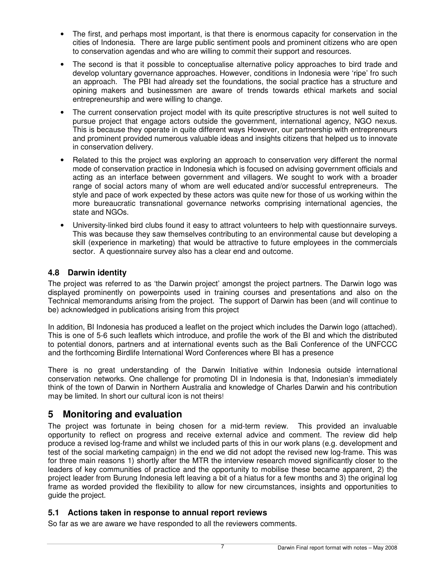- The first, and perhaps most important, is that there is enormous capacity for conservation in the cities of Indonesia. There are large public sentiment pools and prominent citizens who are open to conservation agendas and who are willing to commit their support and resources.
- The second is that it possible to conceptualise alternative policy approaches to bird trade and develop voluntary governance approaches. However, conditions in Indonesia were 'ripe' fro such an approach. The PBI had already set the foundations, the social practice has a structure and opining makers and businessmen are aware of trends towards ethical markets and social entrepreneurship and were willing to change.
- The current conservation project model with its quite prescriptive structures is not well suited to pursue project that engage actors outside the government, international agency, NGO nexus. This is because they operate in quite different ways However, our partnership with entrepreneurs and prominent provided numerous valuable ideas and insights citizens that helped us to innovate in conservation delivery.
- Related to this the project was exploring an approach to conservation very different the normal mode of conservation practice in Indonesia which is focused on advising government officials and acting as an interface between government and villagers. We sought to work with a broader range of social actors many of whom are well educated and/or successful entrepreneurs. The style and pace of work expected by these actors was quite new for those of us working within the more bureaucratic transnational governance networks comprising international agencies, the state and NGOs.
- University-linked bird clubs found it easy to attract volunteers to help with questionnaire surveys. This was because they saw themselves contributing to an environmental cause but developing a skill (experience in marketing) that would be attractive to future employees in the commercials sector. A questionnaire survey also has a clear end and outcome.

### **4.8 Darwin identity**

The project was referred to as 'the Darwin project' amongst the project partners. The Darwin logo was displayed prominently on powerpoints used in training courses and presentations and also on the Technical memorandums arising from the project. The support of Darwin has been (and will continue to be) acknowledged in publications arising from this project

In addition, BI Indonesia has produced a leaflet on the project which includes the Darwin logo (attached). This is one of 5-6 such leaflets which introduce, and profile the work of the BI and which the distributed to potential donors, partners and at international events such as the Bali Conference of the UNFCCC and the forthcoming Birdlife International Word Conferences where BI has a presence

There is no great understanding of the Darwin Initiative within Indonesia outside international conservation networks. One challenge for promoting DI in Indonesia is that, Indonesian's immediately think of the town of Darwin in Northern Australia and knowledge of Charles Darwin and his contribution may be limited. In short our cultural icon is not theirs!

## **5 Monitoring and evaluation**

The project was fortunate in being chosen for a mid-term review. This provided an invaluable opportunity to reflect on progress and receive external advice and comment. The review did help produce a revised log-frame and whilst we included parts of this in our work plans (e.g. development and test of the social marketing campaign) in the end we did not adopt the revised new log-frame. This was for three main reasons 1) shortly after the MTR the interview research moved significantly closer to the leaders of key communities of practice and the opportunity to mobilise these became apparent, 2) the project leader from Burung Indonesia left leaving a bit of a hiatus for a few months and 3) the original log frame as worded provided the flexibility to allow for new circumstances, insights and opportunities to guide the project.

#### **5.1 Actions taken in response to annual report reviews**

So far as we are aware we have responded to all the reviewers comments.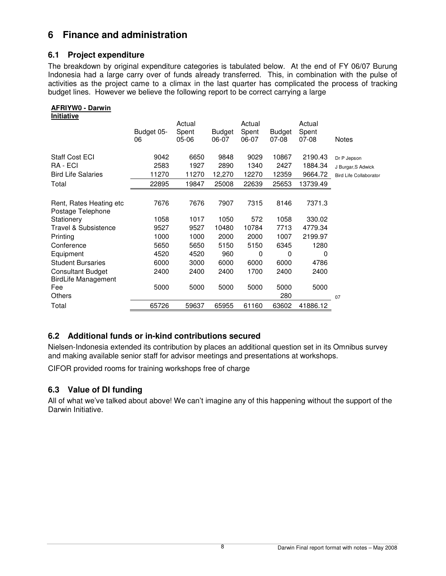## **6 Finance and administration**

### **6.1 Project expenditure**

The breakdown by original expenditure categories is tabulated below. At the end of FY 06/07 Burung Indonesia had a large carry over of funds already transferred. This, in combination with the pulse of activities as the project came to a climax in the last quarter has complicated the process of tracking budget lines. However we believe the following report to be correct carrying a large

### **AFRIYW0 - Darwin**

| <b>Initiative</b>          |            |           |        |        |               |          |                               |
|----------------------------|------------|-----------|--------|--------|---------------|----------|-------------------------------|
|                            |            | Actual    |        | Actual |               | Actual   |                               |
|                            | Budget 05- | Spent     | Budget | Spent  | <b>Budget</b> | Spent    |                               |
|                            | 06         | $05 - 06$ | 06-07  | 06-07  | 07-08         | 07-08    | <b>Notes</b>                  |
|                            |            |           |        |        |               |          |                               |
| <b>Staff Cost ECI</b>      | 9042       | 6650      | 9848   | 9029   | 10867         | 2190.43  | Dr P Jepson                   |
| RA - ECI                   | 2583       | 1927      | 2890   | 1340   | 2427          | 1884.34  | J Burgar, S Adwick            |
| <b>Bird Life Salaries</b>  | 11270      | 11270     | 12,270 | 12270  | 12359         | 9664.72  | <b>Bird Life Collaborator</b> |
| Total                      | 22895      | 19847     | 25008  | 22639  | 25653         | 13739.49 |                               |
|                            |            |           |        |        |               |          |                               |
| Rent, Rates Heating etc    | 7676       | 7676      | 7907   | 7315   | 8146          | 7371.3   |                               |
| Postage Telephone          |            |           |        |        |               |          |                               |
| Stationery                 | 1058       | 1017      | 1050   | 572    | 1058          | 330.02   |                               |
| Travel & Subsistence       | 9527       | 9527      | 10480  | 10784  | 7713          | 4779.34  |                               |
| Printing                   | 1000       | 1000      | 2000   | 2000   | 1007          | 2199.97  |                               |
| Conference                 | 5650       | 5650      | 5150   | 5150   | 6345          | 1280     |                               |
| Equipment                  | 4520       | 4520      | 960    | 0      | 0             | 0        |                               |
| <b>Student Bursaries</b>   | 6000       | 3000      | 6000   | 6000   | 6000          | 4786     |                               |
| <b>Consultant Budget</b>   | 2400       | 2400      | 2400   | 1700   | 2400          | 2400     |                               |
| <b>BirdLife Management</b> |            |           |        |        |               |          |                               |
| Fee                        | 5000       | 5000      | 5000   | 5000   | 5000          | 5000     |                               |
| Others                     |            |           |        |        | 280           |          | 07                            |
| Total                      | 65726      | 59637     | 65955  | 61160  | 63602         | 41886.12 |                               |

### **6.2 Additional funds or in-kind contributions secured**

Nielsen-Indonesia extended its contribution by places an additional question set in its Omnibus survey and making available senior staff for advisor meetings and presentations at workshops.

CIFOR provided rooms for training workshops free of charge

## **6.3 Value of DI funding**

All of what we've talked about above! We can't imagine any of this happening without the support of the Darwin Initiative.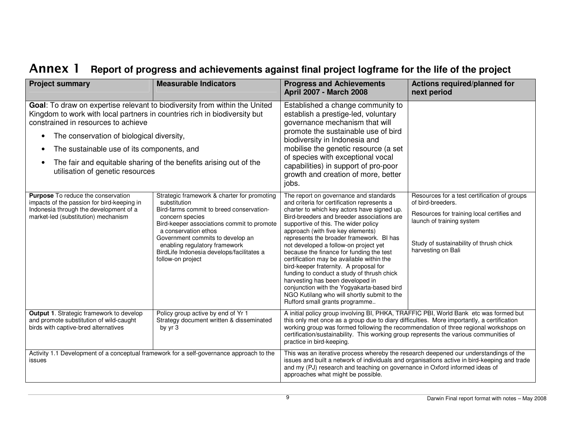# Annex 1 Report of progress and achievements against final project logframe for the life of the project **Annulle 1**

| <b>Project summary</b>                                                                                                                                                                                                                                                                                                                                                                                                                                                                                       | <b>Measurable Indicators</b> | <b>Progress and Achievements</b><br><b>April 2007 - March 2008</b>                                                                                                                                                                                                                                                                                                                                                                                                                                                                                                                                                                                                                                       | Actions required/planned for<br>next period                                                                                                                                                                   |
|--------------------------------------------------------------------------------------------------------------------------------------------------------------------------------------------------------------------------------------------------------------------------------------------------------------------------------------------------------------------------------------------------------------------------------------------------------------------------------------------------------------|------------------------------|----------------------------------------------------------------------------------------------------------------------------------------------------------------------------------------------------------------------------------------------------------------------------------------------------------------------------------------------------------------------------------------------------------------------------------------------------------------------------------------------------------------------------------------------------------------------------------------------------------------------------------------------------------------------------------------------------------|---------------------------------------------------------------------------------------------------------------------------------------------------------------------------------------------------------------|
| Goal: To draw on expertise relevant to biodiversity from within the United<br>Kingdom to work with local partners in countries rich in biodiversity but<br>constrained in resources to achieve<br>The conservation of biological diversity,<br>$\bullet$<br>The sustainable use of its components, and<br>The fair and equitable sharing of the benefits arising out of the<br>$\bullet$<br>utilisation of genetic resources                                                                                 |                              | Established a change community to<br>establish a prestige-led, voluntary<br>governance mechanism that will<br>promote the sustainable use of bird<br>biodiversity in Indonesia and<br>mobilise the genetic resource (a set<br>of species with exceptional vocal<br>capabilities) in support of pro-poor<br>growth and creation of more, better<br>jobs.                                                                                                                                                                                                                                                                                                                                                  |                                                                                                                                                                                                               |
| Purpose To reduce the conservation<br>Strategic framework & charter for promoting<br>impacts of the passion for bird-keeping in<br>substitution<br>Indonesia through the development of a<br>Bird-farms commit to breed conservation-<br>market-led (substitution) mechanism<br>concern species<br>Bird-keeper associations commit to promote<br>a conservation ethos<br>Government commits to develop an<br>enabling regulatory framework<br>BirdLife Indonesia develops/facilitates a<br>follow-on project |                              | The report on governance and standards<br>and criteria for certification represents a<br>charter to which key actors have signed up.<br>Bird-breeders and breeder associations are<br>supportive of this. The wider policy<br>approach (with five key elements)<br>represents the broader framework. BI has<br>not developed a follow-on project yet<br>because the finance for funding the test<br>certification may be available within the<br>bird-keeper fraternity. A proposal for<br>funding to conduct a study of thrush chick<br>harvesting has been developed in<br>conjunction with the Yogyakarta-based bird<br>NGO Kutilang who will shortly submit to the<br>Rufford small grants programme | Resources for a test certification of groups<br>of bird-breeders.<br>Resources for training local certifies and<br>launch of training system<br>Study of sustainability of thrush chick<br>harvesting on Bali |
| Policy group active by end of Yr 1<br>Output 1. Strategic framework to develop<br>and promote substitution of wild-caught<br>Strategy document written & disseminated<br>birds with captive-bred alternatives<br>by yr 3                                                                                                                                                                                                                                                                                     |                              | A initial policy group involving BI, PHKA, TRAFFIC PBI, World Bank etc was formed but<br>this only met once as a group due to diary difficulties. More importantly, a certification<br>working group was formed following the recommendation of three regional workshops on<br>certification/sustainability. This working group represents the various communities of<br>practice in bird-keeping.                                                                                                                                                                                                                                                                                                       |                                                                                                                                                                                                               |
| Activity 1.1 Development of a conceptual framework for a self-governance approach to the<br>issues                                                                                                                                                                                                                                                                                                                                                                                                           |                              | This was an iterative process whereby the research deepened our understandings of the<br>issues and built a network of individuals and organisations active in bird-keeping and trade<br>and my (PJ) research and teaching on governance in Oxford informed ideas of<br>approaches what might be possible.                                                                                                                                                                                                                                                                                                                                                                                               |                                                                                                                                                                                                               |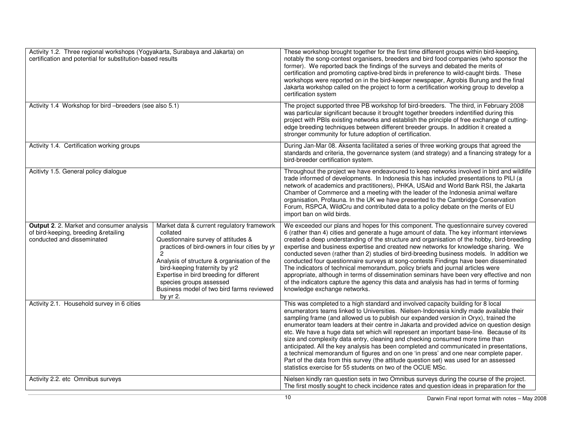| Activity 1.2. Three regional workshops (Yogyakarta, Surabaya and Jakarta) on<br>certification and potential for substitution-based results |                                                                                                                                                                                                                                                                                                                                                                                   | These workshop brought together for the first time different groups within bird-keeping,<br>notably the song-contest organisers, breeders and bird food companies (who sponsor the<br>former). We reported back the findings of the surveys and debated the merits of<br>certification and promoting captive-bred birds in preference to wild-caught birds. These<br>workshops were reported on in the bird-keeper newspaper, Agrobis Burung and the final<br>Jakarta workshop called on the project to form a certification working group to develop a<br>certification system                                                                                                                                                                                                                                                                                                           |
|--------------------------------------------------------------------------------------------------------------------------------------------|-----------------------------------------------------------------------------------------------------------------------------------------------------------------------------------------------------------------------------------------------------------------------------------------------------------------------------------------------------------------------------------|-------------------------------------------------------------------------------------------------------------------------------------------------------------------------------------------------------------------------------------------------------------------------------------------------------------------------------------------------------------------------------------------------------------------------------------------------------------------------------------------------------------------------------------------------------------------------------------------------------------------------------------------------------------------------------------------------------------------------------------------------------------------------------------------------------------------------------------------------------------------------------------------|
| Activity 1.4 Workshop for bird -breeders (see also 5.1)                                                                                    |                                                                                                                                                                                                                                                                                                                                                                                   | The project supported three PB workshop fof bird-breeders. The third, in February 2008<br>was particular significant because it brought together breeders indentified during this<br>project with PBIs existing networks and establish the principle of free exchange of cutting-<br>edge breeding techniques between different breeder groups. In addition it created a<br>stronger community for future adoption of certification.                                                                                                                                                                                                                                                                                                                                                                                                                                                      |
| Activity 1.4. Certification working groups                                                                                                 |                                                                                                                                                                                                                                                                                                                                                                                   | During Jan-Mar 08. Aksenta facilitated a series of three working groups that agreed the<br>standards and criteria, the governance system (and strategy) and a financing strategy for a<br>bird-breeder certification system.                                                                                                                                                                                                                                                                                                                                                                                                                                                                                                                                                                                                                                                              |
| Acitivty 1.5. General policy dialogue                                                                                                      |                                                                                                                                                                                                                                                                                                                                                                                   | Throughout the project we have endeavoured to keep networks involved in bird and wildlife<br>trade informed of developments. In Indonesia this has included presentations to PILI (a<br>network of academics and practitioners), PHKA, USAid and World Bank RSI, the Jakarta<br>Chamber of Commerce and a meeting with the leader of the Indonesia animal welfare<br>organisation, Profauna. In the UK we have presented to the Cambridge Conservation<br>Forum, RSPCA, WildCru and contributed data to a policy debate on the merits of EU<br>import ban on wild birds.                                                                                                                                                                                                                                                                                                                  |
| Output 2. 2. Market and consumer analysis<br>of bird-keeping, breeding &retailing<br>conducted and disseminated                            | Market data & current regulatory framework<br>collated<br>Questionnaire survey of attitudes &<br>practices of bird-owners in four cities by yr<br>$\overline{c}$<br>Analysis of structure & organisation of the<br>bird-keeping fraternity by yr2<br>Expertise in bird breeding for different<br>species groups assessed<br>Business model of two bird farms reviewed<br>by yr 2. | We exceeded our plans and hopes for this component. The questionnaire survey covered<br>6 (rather than 4) cities and generate a huge amount of data. The key informant interviews<br>created a deep understanding of the structure and organisation of the hobby, bird-breeding<br>expertise and business expertise and created new networks for knowledge sharing. We<br>conducted seven (rather than 2) studies of bird-breeding business models. In addition we<br>conducted four questionnaire surveys at song-contests Findings have been disseminated<br>The indicators of technical memorandum, policy briefs and journal articles were<br>appropriate, although in terms of dissemination seminars have been very effective and non<br>of the indicators capture the agency this data and analysis has had in terms of forming<br>knowledge exchange networks.                    |
| Activity 2.1. Household survey in 6 cities                                                                                                 |                                                                                                                                                                                                                                                                                                                                                                                   | This was completed to a high standard and involved capacity building for 8 local<br>enumerators teams linked to Universities. Nielsen-Indonesia kindly made available their<br>sampling frame (and allowed us to publish our expanded version in Oryx), trained the<br>enumerator team leaders at their centre in Jakarta and provided advice on question design<br>etc. We have a huge data set which will represent an important base-line. Because of its<br>size and complexity data entry, cleaning and checking consumed more time than<br>anticipated. All the key analysis has been completed and communicated in presentations,<br>a technical memorandum of figures and on one 'in press' and one near complete paper.<br>Part of the data from this survey (the attitude question set) was used for an assessed<br>statistics exercise for 55 students on two of the OCUE MSc. |
| Activity 2.2. etc Omnibus surveys                                                                                                          |                                                                                                                                                                                                                                                                                                                                                                                   | Nielsen kindly ran question sets in two Omnibus surveys during the course of the project.<br>The first mostly sought to check incidence rates and question ideas in preparation for the                                                                                                                                                                                                                                                                                                                                                                                                                                                                                                                                                                                                                                                                                                   |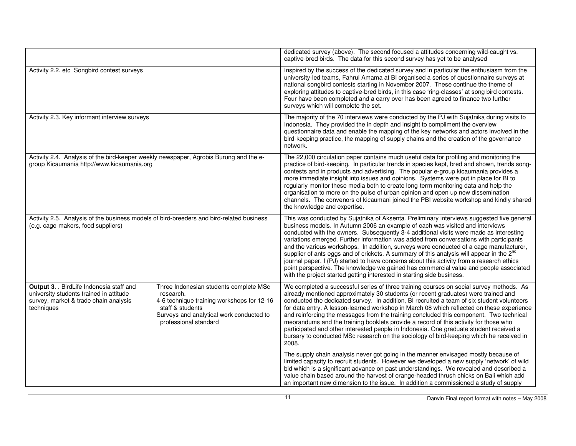|                                                                                                                                            |                                                                                                                                                                                            | dedicated survey (above). The second focused a attitudes concerning wild-caught vs.<br>captive-bred birds. The data for this second survey has yet to be analysed                                                                                                                                                                                                                                                                                                                                                                                                                                                                                                                                                                                                                                                                |
|--------------------------------------------------------------------------------------------------------------------------------------------|--------------------------------------------------------------------------------------------------------------------------------------------------------------------------------------------|----------------------------------------------------------------------------------------------------------------------------------------------------------------------------------------------------------------------------------------------------------------------------------------------------------------------------------------------------------------------------------------------------------------------------------------------------------------------------------------------------------------------------------------------------------------------------------------------------------------------------------------------------------------------------------------------------------------------------------------------------------------------------------------------------------------------------------|
| Activity 2.2. etc Songbird contest surveys                                                                                                 |                                                                                                                                                                                            | Inspired by the success of the dedicated survey and in particular the enthusiasm from the<br>university-led teams, Fahrul Amama at BI organised a series of questionnaire surveys at<br>national songbird contests starting in November 2007. These continue the theme of<br>exploring attitudes to captive-bred birds, in this case 'ring-classes' at song bird contests.<br>Four have been completed and a carry over has been agreed to finance two further<br>surveys which will complete the set.                                                                                                                                                                                                                                                                                                                           |
| Activity 2.3. Key informant interview surveys                                                                                              |                                                                                                                                                                                            | The majority of the 70 interviews were conducted by the PJ with Sujatnika during visits to<br>Indonesia. They provided the in depth and insight to compliment the overview<br>questionnaire data and enable the mapping of the key networks and actors involved in the<br>bird-keeping practice, the mapping of supply chains and the creation of the governance<br>network.                                                                                                                                                                                                                                                                                                                                                                                                                                                     |
| Activity 2.4. Analysis of the bird-keeper weekly newspaper, Agrobis Burung and the e-<br>group Kicaumania http://www.kicaumania.org        |                                                                                                                                                                                            | The 22,000 circulation paper contains much useful data for profiling and monitoring the<br>practice of bird-keeping. In particular trends in species kept, bred and shown, trends song-<br>contests and in products and advertising. The popular e-group kicaumania provides a<br>more immediate insight into issues and opinions. Systems were put in place for BI to<br>regularly monitor these media both to create long-term monitoring data and help the<br>organisation to more on the pulse of urban opinion and open up new dissemination<br>channels. The convenors of kicaumani joined the PBI website workshop and kindly shared<br>the knowledge and expertise.                                                                                                                                                      |
| Activity 2.5. Analysis of the business models of bird-breeders and bird-related business<br>(e.g. cage-makers, food suppliers)             |                                                                                                                                                                                            | This was conducted by Sujatnika of Aksenta. Preliminary interviews suggested five general<br>business models. In Autumn 2006 an example of each was visited and interviews<br>conducted with the owners. Subsequently 3-4 additional visits were made as interesting<br>variations emerged. Further information was added from conversations with participants<br>and the various workshops. In addition, surveys were conducted of a cage manufacturer,<br>supplier of ants eggs and of crickets. A summary of this analysis will appear in the 2 <sup>nd</sup><br>journal paper. I (PJ) started to have concerns about this activity from a research ethics<br>point perspective. The knowledge we gained has commercial value and people associated<br>with the project started getting interested in starting side business. |
| Output 3. . BirdLife Indonesia staff and<br>university students trained in attitude<br>survey, market & trade chain analysis<br>techniques | Three Indonesian students complete MSc<br>research.<br>4-6 technique training workshops for 12-16<br>staff & students<br>Surveys and analytical work conducted to<br>professional standard | We completed a successful series of three training courses on social survey methods. As<br>already mentioned approximately 30 students (or recent graduates) were trained and<br>conducted the dedicated survey. In addition, BI recruited a team of six student volunteers<br>for data entry. A lesson-learned workshop in March 08 which reflected on these experience<br>and reinforcing the messages from the training concluded this component. Two technical<br>meorandums and the training booklets provide a record of this activity for those who<br>participated and other interested people in Indonesia. One graduate student received a<br>bursary to conducted MSc research on the sociology of bird-keeping which he received in<br>2008.                                                                         |
|                                                                                                                                            |                                                                                                                                                                                            | The supply chain analysis never got going in the manner envisaged mostly because of<br>limited capacity to recruit students. However we developed a new supply 'network' of wild<br>bid which is a significant advance on past understandings. We revealed and described a<br>value chain based around the harvest of orange-headed thrush chicks on Bali which add<br>an important new dimension to the issue. In addition a commissioned a study of supply                                                                                                                                                                                                                                                                                                                                                                     |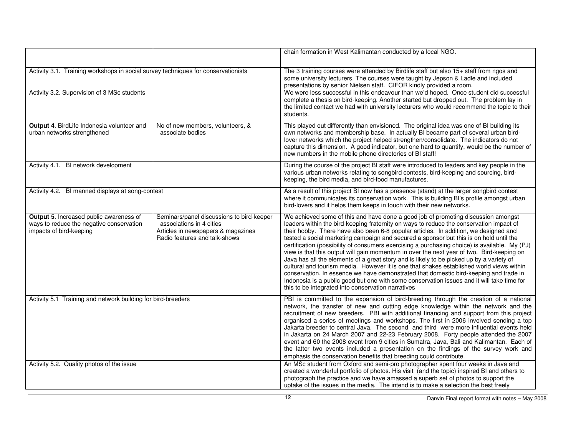|                                                                                                                |                                                                                                                                              | chain formation in West Kalimantan conducted by a local NGO.                                                                                                                                                                                                                                                                                                                                                                                                                                                                                                                                                                                                                                                                                                                                                                                                                                                                                                                                      |
|----------------------------------------------------------------------------------------------------------------|----------------------------------------------------------------------------------------------------------------------------------------------|---------------------------------------------------------------------------------------------------------------------------------------------------------------------------------------------------------------------------------------------------------------------------------------------------------------------------------------------------------------------------------------------------------------------------------------------------------------------------------------------------------------------------------------------------------------------------------------------------------------------------------------------------------------------------------------------------------------------------------------------------------------------------------------------------------------------------------------------------------------------------------------------------------------------------------------------------------------------------------------------------|
| Activity 3.1. Training workshops in social survey techniques for conservationists                              |                                                                                                                                              | The 3 training courses were attended by Birdlife staff but also 15+ staff from ngos and<br>some university lecturers. The courses were taught by Jepson & Ladle and included<br>presentations by senior Nielsen staff. CIFOR kindly provided a room.                                                                                                                                                                                                                                                                                                                                                                                                                                                                                                                                                                                                                                                                                                                                              |
| Activity 3.2. Supervision of 3 MSc students                                                                    |                                                                                                                                              | We were less successful in this endeavour than we'd hoped. Once student did successful<br>complete a thesis on bird-keeping. Another started but dropped out. The problem lay in<br>the limited contact we had with university lecturers who would recommend the topic to their<br>students.                                                                                                                                                                                                                                                                                                                                                                                                                                                                                                                                                                                                                                                                                                      |
| Output 4. BirdLife Indonesia volunteer and<br>urban networks strengthened                                      | No of new members, volunteers, &<br>associate bodies                                                                                         | This played out differently than envisioned. The original idea was one of BI building its<br>own networks and membership base. In actually BI became part of several urban bird-<br>lover networks which the project helped strengthen/consolidate. The indicators do not<br>capture this dimension. A good indicator, but one hard to quantify, would be the number of<br>new numbers in the mobile phone directories of BI staff!                                                                                                                                                                                                                                                                                                                                                                                                                                                                                                                                                               |
| Activity 4.1. BI network development                                                                           |                                                                                                                                              | During the course of the project BI staff were introduced to leaders and key people in the<br>various urban networks relating to songbird contests, bird-keeping and sourcing, bird-<br>keeping, the bird media, and bird-food manufactures.                                                                                                                                                                                                                                                                                                                                                                                                                                                                                                                                                                                                                                                                                                                                                      |
| Activity 4.2. BI manned displays at song-contest                                                               |                                                                                                                                              | As a result of this project BI now has a presence (stand) at the larger songbird contest<br>where it communicates its conservation work. This is building BI's profile amongst urban<br>bird-lovers and it helps them keeps in touch with their new networks.                                                                                                                                                                                                                                                                                                                                                                                                                                                                                                                                                                                                                                                                                                                                     |
| Output 5. Increased public awareness of<br>ways to reduce the negative conservation<br>impacts of bird-keeping | Seminars/panel discussions to bird-keeper<br>associations in 4 cities<br>Articles in newspapers & magazines<br>Radio features and talk-shows | We achieved some of this and have done a good job of promoting discussion amongst<br>leaders within the bird-keeping fraternity on ways to reduce the conservation impact of<br>their hobby. There have also been 6-8 popular articles. In addition, we designed and<br>tested a social marketing campaign and secured a sponsor but this is on hold until the<br>certification (possibility of consumers exercising a purchasing choice) is available. My (PJ)<br>view is that this output will gain momentum in over the next year of two. Bird-keeping on<br>Java has all the elements of a great story and is likely to be picked up by a variety of<br>cultural and tourism media. However it is one that shakes established world views within<br>conservation. In essence we have demonstrated that domestic bird-keeping and trade in<br>Indonesia is a public good but one with some conservation issues and it will take time for<br>this to be integrated into conservation narratives |
| Activity 5.1 Training and network building for bird-breeders                                                   |                                                                                                                                              | PBI is committed to the expansion of bird-breeding through the creation of a national<br>network, the transfer of new and cutting edge knowledge within the network and the<br>recruitment of new breeders. PBI with additional financing and support from this project<br>organised a series of meetings and workshops. The first in 2006 involved sending a top<br>Jakarta breeder to central Java. The second and third were more influential events held<br>in Jakarta on 24 March 2007 and 22-23 February 2008. Forty people attended the 2007<br>event and 60 the 2008 event from 9 cities in Sumatra, Java, Bali and Kalimantan. Each of<br>the latter two events included a presentation on the findings of the survey work and<br>emphasis the conservation benefits that breeding could contribute.                                                                                                                                                                                     |
| Activity 5.2. Quality photos of the issue                                                                      |                                                                                                                                              | An MSc student from Oxford and semi-pro photographer spent four weeks in Java and<br>created a wonderful portfolio of photos. His visit (and the topic) inspired BI and others to<br>photograph the practice and we have amassed a superb set of photos to support the<br>uptake of the issues in the media. The intend is to make a selection the best freely                                                                                                                                                                                                                                                                                                                                                                                                                                                                                                                                                                                                                                    |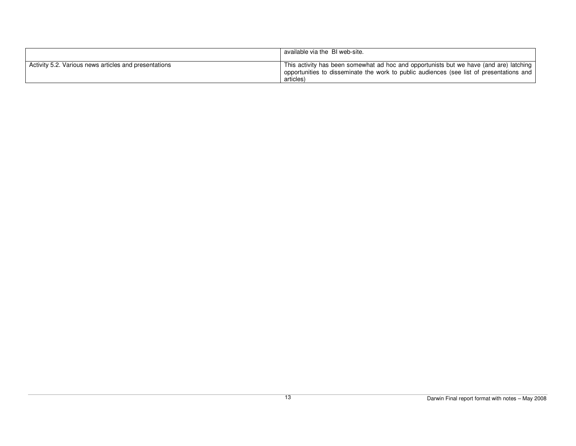|                                                       | available via the BI web-site.                                                                                                                                                                  |
|-------------------------------------------------------|-------------------------------------------------------------------------------------------------------------------------------------------------------------------------------------------------|
| Activity 5.2. Various news articles and presentations | This activity has been somewhat ad hoc and opportunists but we have (and are) latching<br>poportunities to disseminate the work to public audiences (see list of presentations and<br>articles) |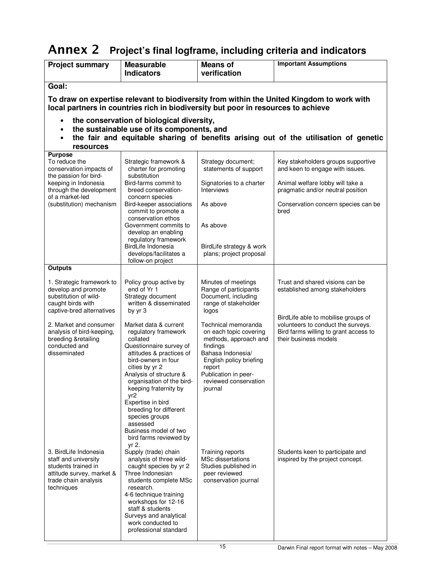# Annex 2 **Project's final logframe, including criteria and indicators**

| <b>Project summary</b>                                                                                                                  | <b>Measurable</b><br><b>Indicators</b>                                                                                                                                                                                                                                                                                                                                            | <b>Means of</b><br>verification                                                                                                                                                                          | <b>Important Assumptions</b>                                                                                                                |  |  |
|-----------------------------------------------------------------------------------------------------------------------------------------|-----------------------------------------------------------------------------------------------------------------------------------------------------------------------------------------------------------------------------------------------------------------------------------------------------------------------------------------------------------------------------------|----------------------------------------------------------------------------------------------------------------------------------------------------------------------------------------------------------|---------------------------------------------------------------------------------------------------------------------------------------------|--|--|
| Goal:                                                                                                                                   |                                                                                                                                                                                                                                                                                                                                                                                   |                                                                                                                                                                                                          |                                                                                                                                             |  |  |
|                                                                                                                                         | To draw on expertise relevant to biodiversity from within the United Kingdom to work with<br>local partners in countries rich in biodiversity but poor in resources to achieve                                                                                                                                                                                                    |                                                                                                                                                                                                          |                                                                                                                                             |  |  |
| ٠                                                                                                                                       | the conservation of biological diversity,                                                                                                                                                                                                                                                                                                                                         |                                                                                                                                                                                                          |                                                                                                                                             |  |  |
| $\bullet$<br>$\bullet$                                                                                                                  | the sustainable use of its components, and                                                                                                                                                                                                                                                                                                                                        |                                                                                                                                                                                                          | the fair and equitable sharing of benefits arising out of the utilisation of genetic                                                        |  |  |
| resources                                                                                                                               |                                                                                                                                                                                                                                                                                                                                                                                   |                                                                                                                                                                                                          |                                                                                                                                             |  |  |
| <b>Purpose</b><br>To reduce the<br>conservation impacts of<br>the passion for bird-                                                     | Strategic framework &<br>charter for promoting<br>substitution                                                                                                                                                                                                                                                                                                                    | Strategy document;<br>statements of support                                                                                                                                                              | Key stakeholders groups supportive<br>and keen to engage with issues.                                                                       |  |  |
| keeping in Indonesia<br>through the development<br>of a market-led                                                                      | Bird-farms commit to<br>breed conservation-<br>concern species                                                                                                                                                                                                                                                                                                                    | Signatories to a charter<br>Interviews                                                                                                                                                                   | Animal welfare lobby will take a<br>pragmatic and/or neutral position                                                                       |  |  |
| (substitution) mechanism                                                                                                                | Bird-keeper associations<br>commit to promote a                                                                                                                                                                                                                                                                                                                                   | As above                                                                                                                                                                                                 | Conservation concern species can be<br>bred                                                                                                 |  |  |
|                                                                                                                                         | conservation ethos<br>Government commits to<br>develop an enabling                                                                                                                                                                                                                                                                                                                | As above                                                                                                                                                                                                 |                                                                                                                                             |  |  |
|                                                                                                                                         | regulatory framework<br>BirdLife Indonesia<br>develops/facilitates a<br>follow-on project                                                                                                                                                                                                                                                                                         | BirdLife strategy & work<br>plans; project proposal                                                                                                                                                      |                                                                                                                                             |  |  |
| <b>Outputs</b>                                                                                                                          |                                                                                                                                                                                                                                                                                                                                                                                   |                                                                                                                                                                                                          |                                                                                                                                             |  |  |
| 1. Strategic framework to<br>develop and promote<br>substitution of wild-<br>caught birds with<br>captive-bred alternatives             | Policy group active by<br>end of Yr 1<br>Strategy document<br>written & disseminated<br>by yr 3                                                                                                                                                                                                                                                                                   | Minutes of meetings<br>Range of participants<br>Document, including<br>range of stakeholder<br>logos                                                                                                     | Trust and shared visions can be<br>established among stakeholders                                                                           |  |  |
| 2. Market and consumer<br>analysis of bird-keeping,<br>breeding &retailing<br>conducted and<br>disseminated                             | Market data & current<br>regulatory framework<br>collated<br>Questionnaire survey of<br>attitudes & practices of<br>bird-owners in four<br>cities by yr 2<br>Analysis of structure &<br>organisation of the bird-<br>keeping fraternity by<br>yr2<br>Expertise in bird<br>breeding for different<br>species groups<br>assessed<br>Business model of two<br>bird farms reviewed by | Technical memoranda<br>on each topic covering<br>methods, approach and<br>findings<br>Bahasa Indonesia/<br>English policy briefing<br>report<br>Publication in peer-<br>reviewed conservation<br>journal | BirdLife able to mobilise groups of<br>volunteers to conduct the surveys.<br>Bird farms willing to grant access to<br>their business models |  |  |
| 3. BirdLife Indonesia<br>staff and university<br>students trained in<br>attitude survey, market &<br>trade chain analysis<br>techniques | yr 2.<br>Supply (trade) chain<br>analysis of three wild-<br>caught species by yr 2<br>Three Indonesian<br>students complete MSc<br>research.<br>4-6 technique training<br>workshops for 12-16<br>staff & students<br>Surveys and analytical<br>work conducted to<br>professional standard                                                                                         | Training reports<br>MSc dissertations<br>Studies published in<br>peer reviewed<br>conservation journal                                                                                                   | Students keen to participate and<br>inspired by the project concept.                                                                        |  |  |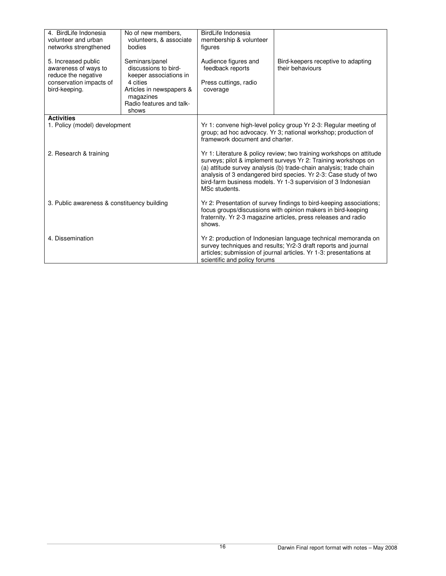| 4. BirdLife Indonesia<br>volunteer and urban<br>networks strengthened | No of new members.<br>volunteers, & associate<br>bodies          | BirdLife Indonesia<br>membership & volunteer<br>figures                                                                                                                                                         |                                                                                                                                                                                                                                                                                                                                                   |
|-----------------------------------------------------------------------|------------------------------------------------------------------|-----------------------------------------------------------------------------------------------------------------------------------------------------------------------------------------------------------------|---------------------------------------------------------------------------------------------------------------------------------------------------------------------------------------------------------------------------------------------------------------------------------------------------------------------------------------------------|
| 5. Increased public<br>awareness of ways to<br>reduce the negative    | Seminars/panel<br>discussions to bird-<br>keeper associations in | Audience figures and<br>feedback reports                                                                                                                                                                        | Bird-keepers receptive to adapting<br>their behaviours                                                                                                                                                                                                                                                                                            |
| conservation impacts of<br>bird-keeping.                              | 4 cities<br>Articles in newspapers &                             | Press cuttings, radio<br>coverage                                                                                                                                                                               |                                                                                                                                                                                                                                                                                                                                                   |
|                                                                       | magazines<br>Radio features and talk-<br>shows                   |                                                                                                                                                                                                                 |                                                                                                                                                                                                                                                                                                                                                   |
| <b>Activities</b>                                                     |                                                                  |                                                                                                                                                                                                                 |                                                                                                                                                                                                                                                                                                                                                   |
| 1. Policy (model) development                                         |                                                                  | Yr 1: convene high-level policy group Yr 2-3: Regular meeting of<br>group; ad hoc advocacy. Yr 3; national workshop; production of<br>framework document and charter.                                           |                                                                                                                                                                                                                                                                                                                                                   |
| 2. Research & training                                                |                                                                  | MSc students.                                                                                                                                                                                                   | Yr 1: Literature & policy review; two training workshops on attitude<br>surveys; pilot & implement surveys Yr 2: Training workshops on<br>(a) attitude survey analysis (b) trade-chain analysis; trade chain<br>analysis of 3 endangered bird species. Yr 2-3: Case study of two<br>bird-farm business models. Yr 1-3 supervision of 3 Indonesian |
| 3. Public awareness & constituency building                           |                                                                  | Yr 2: Presentation of survey findings to bird-keeping associations;<br>focus groups/discussions with opinion makers in bird-keeping<br>fraternity. Yr 2-3 magazine articles, press releases and radio<br>shows. |                                                                                                                                                                                                                                                                                                                                                   |
| 4. Dissemination                                                      |                                                                  | scientific and policy forums                                                                                                                                                                                    | Yr 2: production of Indonesian language technical memoranda on<br>survey techniques and results; Yr2-3 draft reports and journal<br>articles; submission of journal articles. Yr 1-3: presentations at                                                                                                                                            |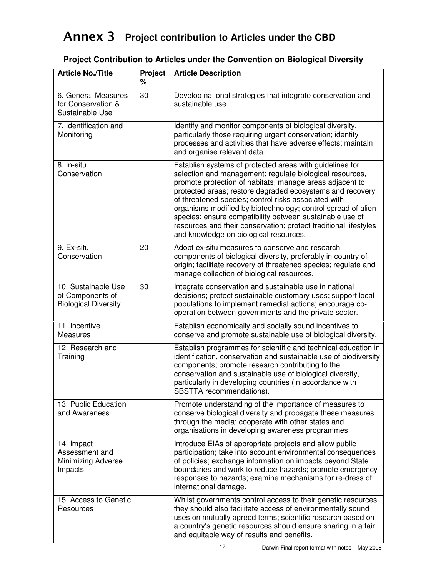## Annex 3 **Project contribution to Articles under the CBD**

#### Article No./Title Project **% Article Description**  6. General Measures for Conservation & Sustainable Use 30 Develop national strategies that integrate conservation and sustainable use. 7. Identification and **Monitoring**  Identify and monitor components of biological diversity, particularly those requiring urgent conservation; identify processes and activities that have adverse effects; maintain and organise relevant data. 8. In-situ **Conservation**  Establish systems of protected areas with guidelines for selection and management; regulate biological resources, promote protection of habitats; manage areas adjacent to protected areas; restore degraded ecosystems and recovery of threatened species; control risks associated with organisms modified by biotechnology; control spread of alien species; ensure compatibility between sustainable use of resources and their conservation; protect traditional lifestyles and knowledge on biological resources. 9. Ex-situ Conservation 20 Adopt ex-situ measures to conserve and research components of biological diversity, preferably in country of origin; facilitate recovery of threatened species; regulate and manage collection of biological resources. 10. Sustainable Use of Components of Biological Diversity 30 Integrate conservation and sustainable use in national decisions; protect sustainable customary uses; support local populations to implement remedial actions; encourage cooperation between governments and the private sector. 11. Incentive **Measures**  Establish economically and socially sound incentives to conserve and promote sustainable use of biological diversity. 12. Research and **Training**  Establish programmes for scientific and technical education in identification, conservation and sustainable use of biodiversity components; promote research contributing to the conservation and sustainable use of biological diversity, particularly in developing countries (in accordance with SBSTTA recommendations). 13. Public Education and Awareness Promote understanding of the importance of measures to conserve biological diversity and propagate these measures

#### **Project Contribution to Articles under the Convention on Biological Diversity**

| and Awareness                                                        | conserve biological diversity and propagate these measures<br>through the media; cooperate with other states and<br>organisations in developing awareness programmes.                                                                                                                                                                |
|----------------------------------------------------------------------|--------------------------------------------------------------------------------------------------------------------------------------------------------------------------------------------------------------------------------------------------------------------------------------------------------------------------------------|
| 14. Impact<br>Assessment and<br><b>Minimizing Adverse</b><br>Impacts | Introduce EIAs of appropriate projects and allow public<br>participation; take into account environmental consequences<br>of policies; exchange information on impacts beyond State<br>boundaries and work to reduce hazards; promote emergency<br>responses to hazards; examine mechanisms for re-dress of<br>international damage. |
| 15. Access to Genetic<br>Resources                                   | Whilst governments control access to their genetic resources<br>they should also facilitate access of environmentally sound<br>uses on mutually agreed terms; scientific research based on<br>a country's genetic resources should ensure sharing in a fair<br>and equitable way of results and benefits.                            |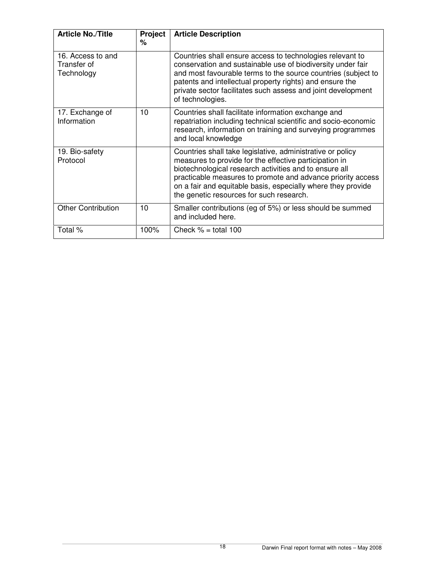| <b>Article No./Title</b>                       | Project | <b>Article Description</b>                                                                                                                                                                                                                                                                                                                                |
|------------------------------------------------|---------|-----------------------------------------------------------------------------------------------------------------------------------------------------------------------------------------------------------------------------------------------------------------------------------------------------------------------------------------------------------|
|                                                | ℅       |                                                                                                                                                                                                                                                                                                                                                           |
| 16. Access to and<br>Transfer of<br>Technology |         | Countries shall ensure access to technologies relevant to<br>conservation and sustainable use of biodiversity under fair<br>and most favourable terms to the source countries (subject to<br>patents and intellectual property rights) and ensure the<br>private sector facilitates such assess and joint development<br>of technologies.                 |
| 17. Exchange of<br>Information                 | 10      | Countries shall facilitate information exchange and<br>repatriation including technical scientific and socio-economic<br>research, information on training and surveying programmes<br>and local knowledge                                                                                                                                                |
| 19. Bio-safety<br>Protocol                     |         | Countries shall take legislative, administrative or policy<br>measures to provide for the effective participation in<br>biotechnological research activities and to ensure all<br>practicable measures to promote and advance priority access<br>on a fair and equitable basis, especially where they provide<br>the genetic resources for such research. |
| <b>Other Contribution</b>                      | 10      | Smaller contributions (eg of 5%) or less should be summed<br>and included here.                                                                                                                                                                                                                                                                           |
| Total %                                        | 100%    | Check $% =$ total 100                                                                                                                                                                                                                                                                                                                                     |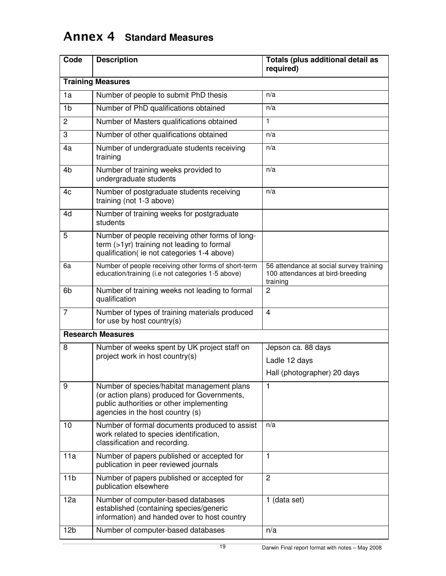## Annex 4 **Standard Measures**

| Code            | <b>Description</b>                                                                                                                                                        | Totals (plus additional detail as<br>required)                                          |  |  |
|-----------------|---------------------------------------------------------------------------------------------------------------------------------------------------------------------------|-----------------------------------------------------------------------------------------|--|--|
|                 | <b>Training Measures</b>                                                                                                                                                  |                                                                                         |  |  |
| 1a              | Number of people to submit PhD thesis                                                                                                                                     | n/a                                                                                     |  |  |
| 1 <sub>b</sub>  | Number of PhD qualifications obtained                                                                                                                                     | n/a                                                                                     |  |  |
| $\overline{c}$  | Number of Masters qualifications obtained                                                                                                                                 | 1                                                                                       |  |  |
| 3               | Number of other qualifications obtained                                                                                                                                   | n/a                                                                                     |  |  |
| 4a              | Number of undergraduate students receiving<br>training                                                                                                                    | n/a                                                                                     |  |  |
| 4b              | Number of training weeks provided to<br>undergraduate students                                                                                                            | n/a                                                                                     |  |  |
| 4c              | Number of postgraduate students receiving<br>training (not 1-3 above)                                                                                                     | n/a                                                                                     |  |  |
| 4d              | Number of training weeks for postgraduate<br>students                                                                                                                     |                                                                                         |  |  |
| 5               | Number of people receiving other forms of long-<br>term (>1yr) training not leading to formal<br>qualification(ie not categories 1-4 above)                               |                                                                                         |  |  |
| 6a              | Number of people receiving other forms of short-term<br>education/training (i.e not categories 1-5 above)                                                                 | 56 attendance at social survey training<br>100 attendances at bird-breeding<br>training |  |  |
| 6b              | Number of training weeks not leading to formal<br>qualification                                                                                                           | 2                                                                                       |  |  |
| $\overline{7}$  | Number of types of training materials produced<br>for use by host country(s)                                                                                              | $\overline{4}$                                                                          |  |  |
|                 | <b>Research Measures</b>                                                                                                                                                  |                                                                                         |  |  |
| 8               | Number of weeks spent by UK project staff on                                                                                                                              | Jepson ca. 88 days                                                                      |  |  |
|                 | project work in host country(s)                                                                                                                                           | Ladle 12 days                                                                           |  |  |
|                 |                                                                                                                                                                           | Hall (photographer) 20 days                                                             |  |  |
| 9               | Number of species/habitat management plans<br>(or action plans) produced for Governments,<br>public authorities or other implementing<br>agencies in the host country (s) | 1                                                                                       |  |  |
| 10              | Number of formal documents produced to assist<br>work related to species identification,<br>classification and recording.                                                 | n/a                                                                                     |  |  |
| 11a             | Number of papers published or accepted for<br>publication in peer reviewed journals                                                                                       | $\mathbf{1}$                                                                            |  |  |
| 11 <sub>b</sub> | Number of papers published or accepted for<br>publication elsewhere                                                                                                       | $\overline{c}$                                                                          |  |  |
| 12a             | Number of computer-based databases<br>established (containing species/generic<br>information) and handed over to host country                                             | 1 (data set)                                                                            |  |  |
| 12 <sub>b</sub> | Number of computer-based databases                                                                                                                                        | n/a                                                                                     |  |  |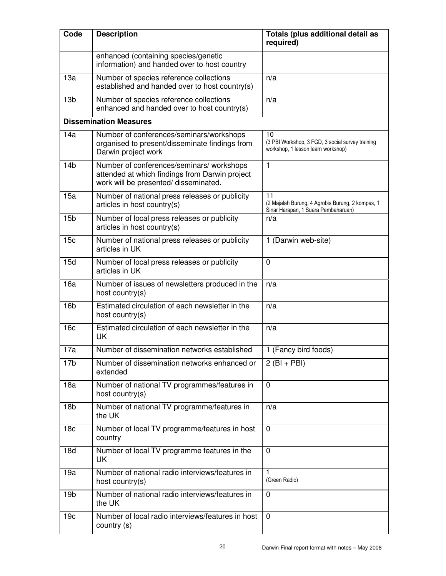| Code            | <b>Description</b>                                                                                                                   | Totals (plus additional detail as<br>required)                                                |
|-----------------|--------------------------------------------------------------------------------------------------------------------------------------|-----------------------------------------------------------------------------------------------|
|                 | enhanced (containing species/genetic<br>information) and handed over to host country                                                 |                                                                                               |
| 13a             | Number of species reference collections<br>established and handed over to host country(s)                                            | n/a                                                                                           |
| 13 <sub>b</sub> | Number of species reference collections<br>enhanced and handed over to host country(s)                                               | n/a                                                                                           |
|                 | <b>Dissemination Measures</b>                                                                                                        |                                                                                               |
| 14a             | Number of conferences/seminars/workshops<br>organised to present/disseminate findings from<br>Darwin project work                    | 10<br>(3 PBI Workshop, 3 FGD, 3 social survey training<br>workshop, 1 lesson learn workshop)  |
| 14 <sub>b</sub> | Number of conferences/seminars/ workshops<br>attended at which findings from Darwin project<br>work will be presented/ disseminated. | $\mathbf{1}$                                                                                  |
| 15a             | Number of national press releases or publicity<br>articles in host country(s)                                                        | 11<br>(2 Majalah Burung, 4 Agrobis Burung, 2 kompas, 1<br>Sinar Harapan, 1 Suara Pembaharuan) |
| 15 <sub>b</sub> | Number of local press releases or publicity<br>articles in host country(s)                                                           | n/a                                                                                           |
| 15c             | Number of national press releases or publicity<br>articles in UK                                                                     | 1 (Darwin web-site)                                                                           |
| 15d             | Number of local press releases or publicity<br>articles in UK                                                                        | 0                                                                                             |
| 16a             | Number of issues of newsletters produced in the<br>host country(s)                                                                   | n/a                                                                                           |
| 16 <sub>b</sub> | Estimated circulation of each newsletter in the<br>host country(s)                                                                   | n/a                                                                                           |
| 16c             | Estimated circulation of each newsletter in the<br>UK                                                                                | n/a                                                                                           |
| 17a             | Number of dissemination networks established                                                                                         | 1 (Fancy bird foods)                                                                          |
| 17 <sub>b</sub> | Number of dissemination networks enhanced or<br>extended                                                                             | $2$ (BI + PBI)                                                                                |
| 18a             | Number of national TV programmes/features in<br>host country(s)                                                                      | $\mathbf 0$                                                                                   |
| 18 <sub>b</sub> | Number of national TV programme/features in<br>the UK                                                                                | n/a                                                                                           |
| 18 <sub>c</sub> | Number of local TV programme/features in host<br>country                                                                             | $\mathbf 0$                                                                                   |
| 18d             | Number of local TV programme features in the<br>UK                                                                                   | $\Omega$                                                                                      |
| 19a             | Number of national radio interviews/features in<br>host country(s)                                                                   | 1<br>(Green Radio)                                                                            |
| 19 <sub>b</sub> | Number of national radio interviews/features in<br>the UK                                                                            | $\mathbf 0$                                                                                   |
| 19 <sub>c</sub> | Number of local radio interviews/features in host<br>country (s)                                                                     | $\mathbf 0$                                                                                   |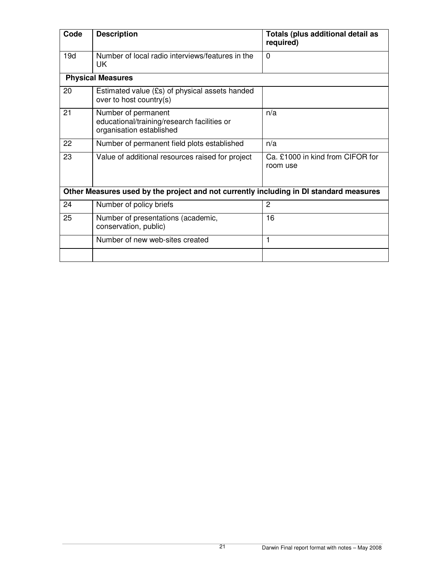| Code                                                                                   | <b>Description</b>                                                                             | Totals (plus additional detail as<br>required) |  |
|----------------------------------------------------------------------------------------|------------------------------------------------------------------------------------------------|------------------------------------------------|--|
| 19d                                                                                    | Number of local radio interviews/features in the<br>UK                                         | $\Omega$                                       |  |
|                                                                                        | <b>Physical Measures</b>                                                                       |                                                |  |
| 20                                                                                     | Estimated value (£s) of physical assets handed<br>over to host country(s)                      |                                                |  |
| 21                                                                                     | Number of permanent<br>educational/training/research facilities or<br>organisation established | n/a                                            |  |
| 22                                                                                     | Number of permanent field plots established                                                    | n/a                                            |  |
| 23                                                                                     | Value of additional resources raised for project                                               | Ca. £1000 in kind from CIFOR for<br>room use   |  |
| Other Measures used by the project and not currently including in DI standard measures |                                                                                                |                                                |  |
| 24                                                                                     | Number of policy briefs                                                                        | $\overline{c}$                                 |  |
| 25                                                                                     | Number of presentations (academic,<br>conservation, public)                                    | 16                                             |  |
|                                                                                        | Number of new web-sites created                                                                | 1                                              |  |
|                                                                                        |                                                                                                |                                                |  |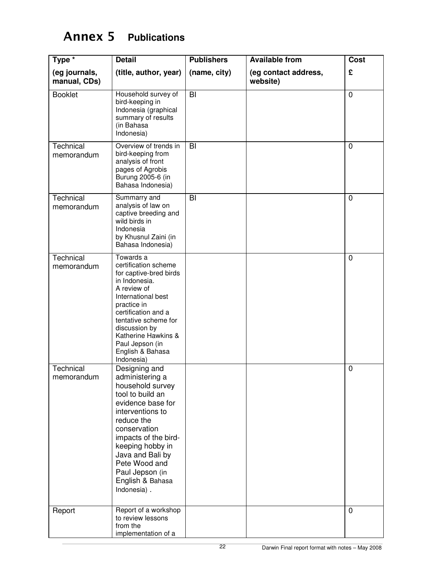## Annex 5 **Publications**

| Type *                        | <b>Detail</b>                                                                                                                                                                                                                                                                          | <b>Publishers</b> | <b>Available from</b>            | <b>Cost</b> |
|-------------------------------|----------------------------------------------------------------------------------------------------------------------------------------------------------------------------------------------------------------------------------------------------------------------------------------|-------------------|----------------------------------|-------------|
| (eg journals,<br>manual, CDs) | (title, author, year)                                                                                                                                                                                                                                                                  | (name, city)      | (eg contact address,<br>website) | £           |
| <b>Booklet</b>                | Household survey of<br>bird-keeping in<br>Indonesia (graphical<br>summary of results<br>(in Bahasa<br>Indonesia)                                                                                                                                                                       | BI                |                                  | $\mathbf 0$ |
| Technical<br>memorandum       | Overview of trends in<br>bird-keeping from<br>analysis of front<br>pages of Agrobis<br>Burung 2005-6 (in<br>Bahasa Indonesia)                                                                                                                                                          | B <sub>l</sub>    |                                  | 0           |
| Technical<br>memorandum       | Summarry and<br>analysis of law on<br>captive breeding and<br>wild birds in<br>Indonesia<br>by Khusnul Zaini (in<br>Bahasa Indonesia)                                                                                                                                                  | BI                |                                  | 0           |
| Technical<br>memorandum       | Towards a<br>certification scheme<br>for captive-bred birds<br>in Indonesia.<br>A review of<br>International best<br>practice in<br>certification and a<br>tentative scheme for<br>discussion by<br>Katherine Hawkins &<br>Paul Jepson (in<br>English & Bahasa<br>Indonesia)           |                   |                                  | 0           |
| Technical<br>memorandum       | Designing and<br>administering a<br>household survey<br>tool to build an<br>evidence base for<br>interventions to<br>reduce the<br>conservation<br>impacts of the bird-<br>keeping hobby in<br>Java and Bali by<br>Pete Wood and<br>Paul Jepson (in<br>English & Bahasa<br>Indonesia). |                   |                                  | 0           |
| Report                        | Report of a workshop<br>to review lessons<br>from the<br>implementation of a                                                                                                                                                                                                           |                   |                                  | $\mathbf 0$ |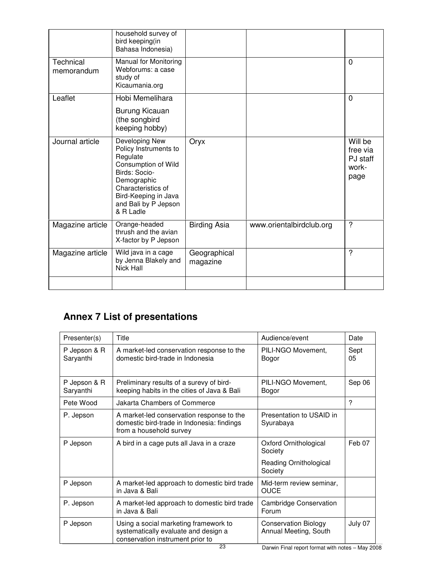|                         | household survey of<br>bird keeping(in<br>Bahasa Indonesia)                                                                                                                                   |                          |                          |                                                  |
|-------------------------|-----------------------------------------------------------------------------------------------------------------------------------------------------------------------------------------------|--------------------------|--------------------------|--------------------------------------------------|
| Technical<br>memorandum | Manual for Monitoring<br>Webforums: a case<br>study of<br>Kicaumania.org                                                                                                                      |                          |                          | $\Omega$                                         |
| Leaflet                 | Hobi Memelihara                                                                                                                                                                               |                          |                          | 0                                                |
|                         | Burung Kicauan<br>(the songbird<br>keeping hobby)                                                                                                                                             |                          |                          |                                                  |
| Journal article         | Developing New<br>Policy Instruments to<br>Regulate<br>Consumption of Wild<br>Birds: Socio-<br>Demographic<br>Characteristics of<br>Bird-Keeping in Java<br>and Bali by P Jepson<br>& R Ladle | Oryx                     |                          | Will be<br>free via<br>PJ staff<br>work-<br>page |
| Magazine article        | Orange-headed<br>thrush and the avian<br>X-factor by P Jepson                                                                                                                                 | <b>Birding Asia</b>      | www.orientalbirdclub.org | ?                                                |
| Magazine article        | Wild java in a cage<br>by Jenna Blakely and<br>Nick Hall                                                                                                                                      | Geographical<br>magazine |                          | ?                                                |
|                         |                                                                                                                                                                                               |                          |                          |                                                  |

## **Annex 7 List of presentations**

| Presenter(s)              | Title                                                                                                              | Audience/event                                       | Date       |
|---------------------------|--------------------------------------------------------------------------------------------------------------------|------------------------------------------------------|------------|
| P Jepson & R<br>Saryanthi | A market-led conservation response to the<br>domestic bird-trade in Indonesia                                      | PILI-NGO Movement,<br>Bogor                          | Sept<br>05 |
| P Jepson & R<br>Saryanthi | Preliminary results of a surevy of bird-<br>keeping habits in the cities of Java & Bali                            | PILI-NGO Movement,<br>Bogor                          | Sep 06     |
| Pete Wood                 | Jakarta Chambers of Commerce                                                                                       |                                                      | ?          |
| P. Jepson                 | A market-led conservation response to the<br>domestic bird-trade in Indonesia: findings<br>from a household survey | Presentation to USAID in<br>Syurabaya                |            |
| P Jepson                  | A bird in a cage puts all Java in a craze                                                                          | Oxford Ornithological<br>Society                     | Feb 07     |
|                           |                                                                                                                    | Reading Ornithological<br>Society                    |            |
| P Jepson                  | A market-led approach to domestic bird trade<br>in Java & Bali                                                     | Mid-term review seminar,<br><b>OUCE</b>              |            |
| P. Jepson                 | A market-led approach to domestic bird trade<br>in Java & Bali                                                     | <b>Cambridge Conservation</b><br>Forum               |            |
| P Jepson                  | Using a social marketing framework to<br>systematically evaluate and design a<br>conservation instrument prior to  | <b>Conservation Biology</b><br>Annual Meeting, South | July 07    |